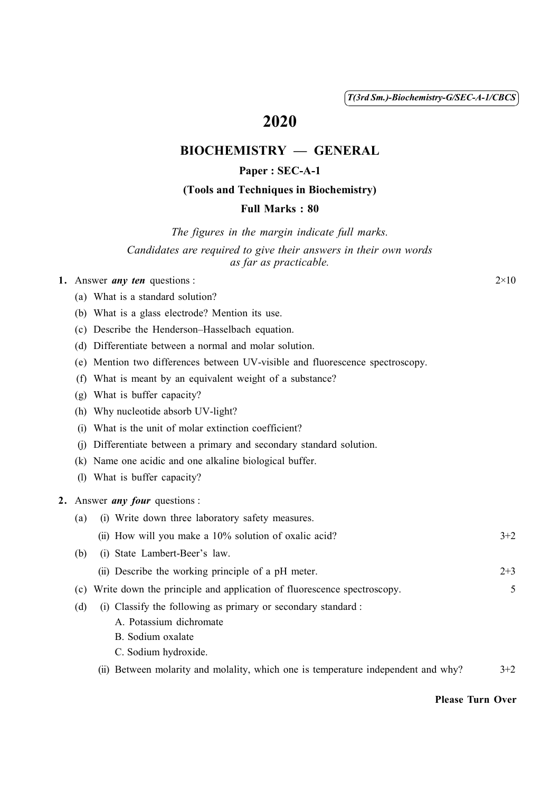( 1 ) *T(3rd Sm.)-Biochemistry-G/SEC-A-1/CBCS*

# 2020

# BIOCHEMISTRY — GENERAL

## Paper : SEC-A-1

#### (Tools and Techniques in Biochemistry)

#### Full Marks : 80

*The figures in the margin indicate full marks.*

*Candidates are required to give their answers in their own words as far as practicable.*

#### 1. Answer *any ten* questions :  $2 \times 10$

- (a) What is a standard solution?
- (b) What is a glass electrode? Mention its use.
- (c) Describe the Henderson–Hasselbach equation.
- (d) Differentiate between a normal and molar solution.
- (e) Mention two differences between UV-visible and fluorescence spectroscopy.
- (f) What is meant by an equivalent weight of a substance?
- (g) What is buffer capacity?
- (h) Why nucleotide absorb UV-light?
- (i) What is the unit of molar extinction coefficient?
- (j) Differentiate between a primary and secondary standard solution.
- (k) Name one acidic and one alkaline biological buffer.
- (l) What is buffer capacity?

#### 2. Answer *any four* questions :

| (a) | (i) Write down three laboratory safety measures.      |         |
|-----|-------------------------------------------------------|---------|
|     | (ii) How will you make a 10% solution of oxalic acid? | $3+2$   |
| (b) | (i) State Lambert-Beer's law.                         |         |
|     | (ii) Describe the working principle of a pH meter.    | $2 + 3$ |

- (c) Write down the principle and application of fluorescence spectroscopy. 5
- (d) (i) Classify the following as primary or secondary standard :
	- A. Potassium dichromate
	- B. Sodium oxalate
	- C. Sodium hydroxide.
	- (ii) Between molarity and molality, which one is temperature independent and why?  $3+2$

#### Please Turn Over